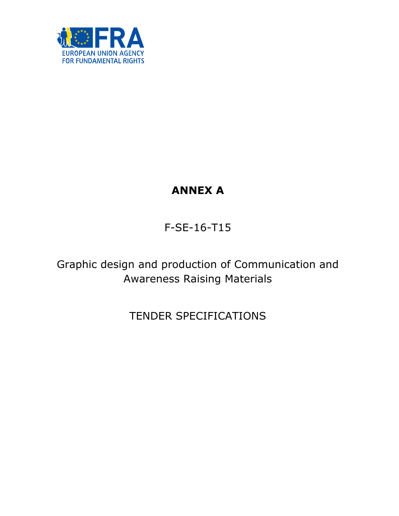

# **ANNEX A**

F-SE-16-T15

Graphic design and production of Communication and Awareness Raising Materials

TENDER SPECIFICATIONS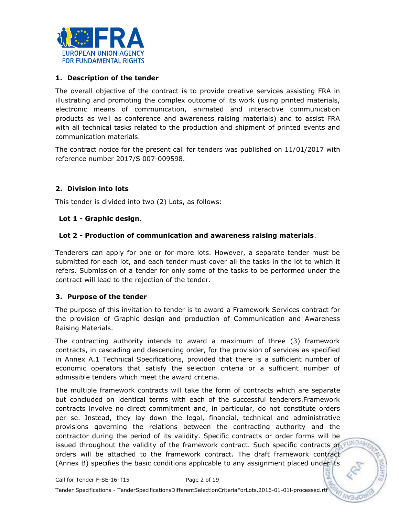

#### **1. Description of the tender**

The overall objective of the contract is to provide creative services assisting FRA in illustrating and promoting the complex outcome of its work (using printed materials, electronic means of communication, animated and interactive communication products as well as conference and awareness raising materials) and to assist FRA with all technical tasks related to the production and shipment of printed events and communication materials.

The contract notice for the present call for tenders was published on 11/01/2017 with reference number 2017/S 007-009598.

#### **2. Division into lots**

This tender is divided into two (2) Lots, as follows:

#### **Lot 1 - Graphic design**.

#### **Lot 2 - Production of communication and awareness raising materials**.

Tenderers can apply for one or for more lots. However, a separate tender must be submitted for each lot, and each tender must cover all the tasks in the lot to which it refers. Submission of a tender for only some of the tasks to be performed under the contract will lead to the rejection of the tender.

#### **3. Purpose of the tender**

The purpose of this invitation to tender is to award a Framework Services contract for the provision of Graphic design and production of Communication and Awareness Raising Materials.

The contracting authority intends to award a maximum of three (3) framework contracts, in cascading and descending order, for the provision of services as specified in Annex A.1 Technical Specifications, provided that there is a sufficient number of economic operators that satisfy the selection criteria or a sufficient number of admissible tenders which meet the award criteria.

The multiple framework contracts will take the form of contracts which are separate but concluded on identical terms with each of the successful tenderers.Framework contracts involve no direct commitment and, in particular, do not constitute orders per se. Instead, they lay down the legal, financial, technical and administrative provisions governing the relations between the contracting authority and the contractor during the period of its validity. Specific contracts or order forms will be issued throughout the validity of the framework contract. Such specific contracts or FUND orders will be attached to the framework contract. The draft framework contract (Annex B) specifies the basic conditions applicable to any assignment placed under its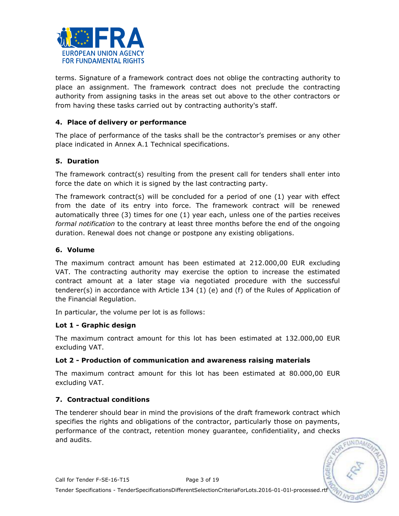

terms. Signature of a framework contract does not oblige the contracting authority to place an assignment. The framework contract does not preclude the contracting authority from assigning tasks in the areas set out above to the other contractors or from having these tasks carried out by contracting authority's staff.

#### **4. Place of delivery or performance**

The place of performance of the tasks shall be the contractor's premises or any other place indicated in Annex A.1 Technical specifications.

## **5. Duration**

The framework contract(s) resulting from the present call for tenders shall enter into force the date on which it is signed by the last contracting party.

The framework contract(s) will be concluded for a period of one  $(1)$  year with effect from the date of its entry into force. The framework contract will be renewed automatically three (3) times for one (1) year each, unless one of the parties receives *formal notification* to the contrary at least three months before the end of the ongoing duration. Renewal does not change or postpone any existing obligations.

#### **6. Volume**

The maximum contract amount has been estimated at 212.000,00 EUR excluding VAT. The contracting authority may exercise the option to increase the estimated contract amount at a later stage via negotiated procedure with the successful tenderer(s) in accordance with Article 134 (1) (e) and (f) of the Rules of Application of the Financial Regulation.

In particular, the volume per lot is as follows:

#### **Lot 1 - Graphic design**

The maximum contract amount for this lot has been estimated at 132.000,00 EUR excluding VAT.

#### **Lot 2 - Production of communication and awareness raising materials**

The maximum contract amount for this lot has been estimated at 80.000,00 EUR excluding VAT.

## **7. Contractual conditions**

The tenderer should bear in mind the provisions of the draft framework contract which specifies the rights and obligations of the contractor, particularly those on payments, performance of the contract, retention money guarantee, confidentiality, and checks and audits.

EUNDA/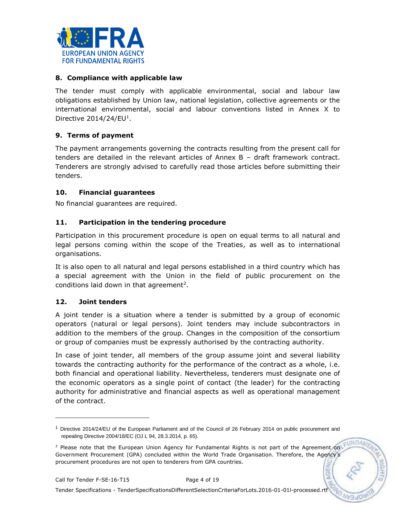

#### **8. Compliance with applicable law**

The tender must comply with applicable environmental, social and labour law obligations established by Union law, national legislation, collective agreements or the international environmental, social and labour conventions listed in Annex X to Directive  $2014/24$ /EU<sup>1</sup>.

## **9. Terms of payment**

The payment arrangements governing the contracts resulting from the present call for tenders are detailed in the relevant articles of Annex B – draft framework contract. Tenderers are strongly advised to carefully read those articles before submitting their tenders.

#### **10. Financial guarantees**

No financial guarantees are required.

#### **11. Participation in the tendering procedure**

Participation in this procurement procedure is open on equal terms to all natural and legal persons coming within the scope of the Treaties, as well as to international organisations.

It is also open to all natural and legal persons established in a third country which has a special agreement with the Union in the field of public procurement on the conditions laid down in that agreement<sup>2</sup>.

#### **12. Joint tenders**

A joint tender is a situation where a tender is submitted by a group of economic operators (natural or legal persons). Joint tenders may include subcontractors in addition to the members of the group. Changes in the composition of the consortium or group of companies must be expressly authorised by the contracting authority.

In case of joint tender, all members of the group assume joint and several liability towards the contracting authority for the performance of the contract as a whole, i.e. both financial and operational liability. Nevertheless, tenderers must designate one of the economic operators as a single point of contact (the leader) for the contracting authority for administrative and financial aspects as well as operational management of the contract.

**FUNDA** 

ω

ł

Tender Specifications - TenderSpecificationsDifferentSelectionCriteriaForLots.2016-01-01l-processed.rtf

<sup>1</sup> Directive 2014/24/EU of the European Parliament and of the Council of 26 February 2014 on public procurement and repealing Directive 2004/18/EC (OJ L 94, 28.3.2014, p. 65).

<sup>&</sup>lt;sup>2</sup> Please note that the European Union Agency for Fundamental Rights is not part of the Agreement on Government Procurement (GPA) concluded within the World Trade Organisation. Therefore, the Agency's procurement procedures are not open to tenderers from GPA countries.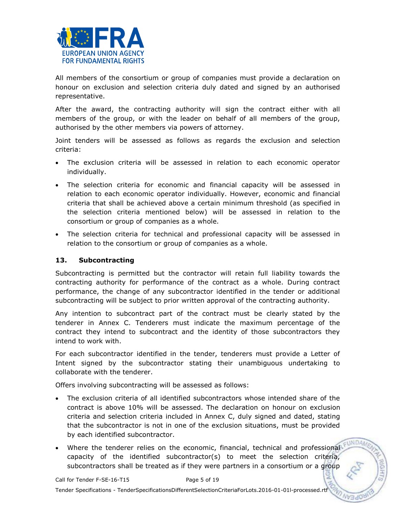

All members of the consortium or group of companies must provide a declaration on honour on exclusion and selection criteria duly dated and signed by an authorised representative.

After the award, the contracting authority will sign the contract either with all members of the group, or with the leader on behalf of all members of the group, authorised by the other members via powers of attorney.

Joint tenders will be assessed as follows as regards the exclusion and selection criteria:

- The exclusion criteria will be assessed in relation to each economic operator individually.
- The selection criteria for economic and financial capacity will be assessed in relation to each economic operator individually. However, economic and financial criteria that shall be achieved above a certain minimum threshold (as specified in the selection criteria mentioned below) will be assessed in relation to the consortium or group of companies as a whole.
- The selection criteria for technical and professional capacity will be assessed in relation to the consortium or group of companies as a whole.

#### **13. Subcontracting**

Subcontracting is permitted but the contractor will retain full liability towards the contracting authority for performance of the contract as a whole. During contract performance, the change of any subcontractor identified in the tender or additional subcontracting will be subject to prior written approval of the contracting authority.

Any intention to subcontract part of the contract must be clearly stated by the tenderer in Annex C. Tenderers must indicate the maximum percentage of the contract they intend to subcontract and the identity of those subcontractors they intend to work with.

For each subcontractor identified in the tender, tenderers must provide a Letter of Intent signed by the subcontractor stating their unambiguous undertaking to collaborate with the tenderer.

Offers involving subcontracting will be assessed as follows:

- The exclusion criteria of all identified subcontractors whose intended share of the contract is above 10% will be assessed. The declaration on honour on exclusion criteria and selection criteria included in Annex C, duly signed and dated, stating that the subcontractor is not in one of the exclusion situations, must be provided by each identified subcontractor.
- Where the tenderer relies on the economic, financial, technical and professional capacity of the identified subcontractor(s) to meet the selection criteria, subcontractors shall be treated as if they were partners in a consortium or a group

**UNDA** 

Tender Specifications - TenderSpecificationsDifferentSelectionCriteriaForLots.2016-01-01l-processed.rtf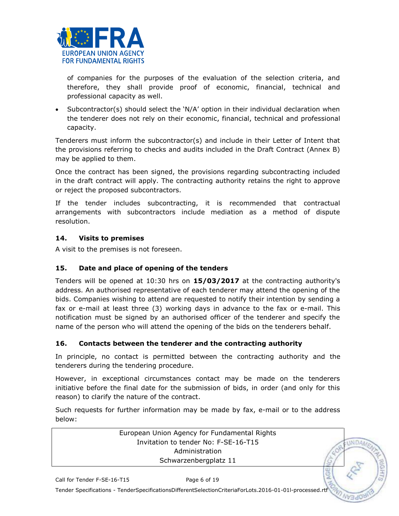

of companies for the purposes of the evaluation of the selection criteria, and therefore, they shall provide proof of economic, financial, technical and professional capacity as well.

 Subcontractor(s) should select the 'N/A' option in their individual declaration when the tenderer does not rely on their economic, financial, technical and professional capacity.

Tenderers must inform the subcontractor(s) and include in their Letter of Intent that the provisions referring to checks and audits included in the Draft Contract (Annex B) may be applied to them.

Once the contract has been signed, the provisions regarding subcontracting included in the draft contract will apply. The contracting authority retains the right to approve or reject the proposed subcontractors.

If the tender includes subcontracting, it is recommended that contractual arrangements with subcontractors include mediation as a method of dispute resolution.

# **14. Visits to premises**

A visit to the premises is not foreseen.

# **15. Date and place of opening of the tenders**

Tenders will be opened at 10:30 hrs on **15/03/2017** at the contracting authority's address. An authorised representative of each tenderer may attend the opening of the bids. Companies wishing to attend are requested to notify their intention by sending a fax or e-mail at least three (3) working days in advance to the fax or e-mail. This notification must be signed by an authorised officer of the tenderer and specify the name of the person who will attend the opening of the bids on the tenderers behalf.

## **16. Contacts between the tenderer and the contracting authority**

In principle, no contact is permitted between the contracting authority and the tenderers during the tendering procedure.

However, in exceptional circumstances contact may be made on the tenderers initiative before the final date for the submission of bids, in order (and only for this reason) to clarify the nature of the contract.

Such requests for further information may be made by fax, e-mail or to the address below:

> European Union Agency for Fundamental Rights Invitation to tender No: F-SE-16-T15 Administration Schwarzenbergplatz 11

**INDA**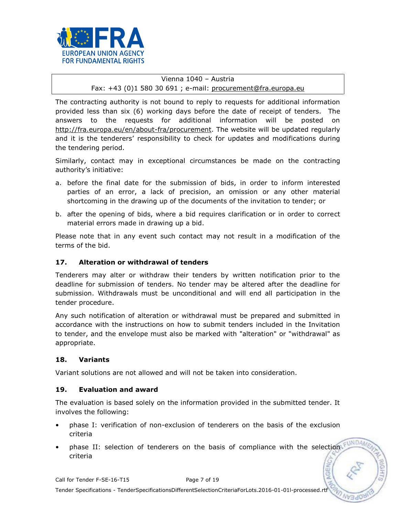

# Vienna 1040 – Austria Fax: +43 (0)1 580 30 691 ; e-mail: [procurement@fra.europa.eu](mailto:procurement@fra.europa.eu)

The contracting authority is not bound to reply to requests for additional information provided less than six (6) working days before the date of receipt of tenders. The answers to the requests for additional information will be posted on [http://fra.europa.eu/en/about-fra/procurement.](http://fra.europa.eu/en/about-fra/procurement) The website will be updated regularly and it is the tenderers' responsibility to check for updates and modifications during the tendering period.

Similarly, contact may in exceptional circumstances be made on the contracting authority's initiative:

- a. before the final date for the submission of bids, in order to inform interested parties of an error, a lack of precision, an omission or any other material shortcoming in the drawing up of the documents of the invitation to tender; or
- b. after the opening of bids, where a bid requires clarification or in order to correct material errors made in drawing up a bid.

Please note that in any event such contact may not result in a modification of the terms of the bid.

## **17. Alteration or withdrawal of tenders**

Tenderers may alter or withdraw their tenders by written notification prior to the deadline for submission of tenders. No tender may be altered after the deadline for submission. Withdrawals must be unconditional and will end all participation in the tender procedure.

Any such notification of alteration or withdrawal must be prepared and submitted in accordance with the instructions on how to submit tenders included in the Invitation to tender, and the envelope must also be marked with "alteration" or "withdrawal" as appropriate.

## **18. Variants**

Variant solutions are not allowed and will not be taken into consideration.

## **19. Evaluation and award**

The evaluation is based solely on the information provided in the submitted tender. It involves the following:

- phase I: verification of non-exclusion of tenderers on the basis of the exclusion criteria
- phase II: selection of tenderers on the basis of compliance with the selection criteria

ū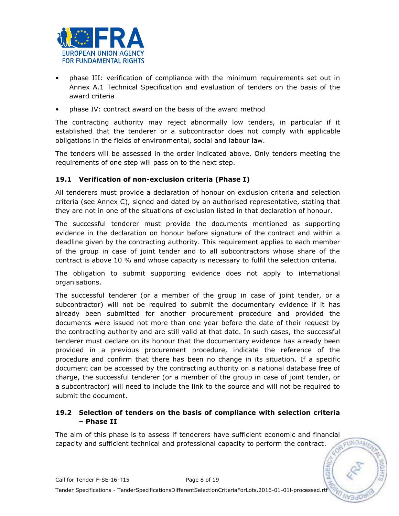

- phase III: verification of compliance with the minimum requirements set out in Annex A.1 Technical Specification and evaluation of tenders on the basis of the award criteria
- phase IV: contract award on the basis of the award method

The contracting authority may reject abnormally low tenders, in particular if it established that the tenderer or a subcontractor does not comply with applicable obligations in the fields of environmental, social and labour law.

The tenders will be assessed in the order indicated above. Only tenders meeting the requirements of one step will pass on to the next step.

## **19.1 Verification of non-exclusion criteria (Phase I)**

All tenderers must provide a declaration of honour on exclusion criteria and selection criteria (see Annex C), signed and dated by an authorised representative, stating that they are not in one of the situations of exclusion listed in that declaration of honour.

The successful tenderer must provide the documents mentioned as supporting evidence in the declaration on honour before signature of the contract and within a deadline given by the contracting authority. This requirement applies to each member of the group in case of joint tender and to all subcontractors whose share of the contract is above 10 % and whose capacity is necessary to fulfil the selection criteria.

The obligation to submit supporting evidence does not apply to international organisations.

The successful tenderer (or a member of the group in case of joint tender, or a subcontractor) will not be required to submit the documentary evidence if it has already been submitted for another procurement procedure and provided the documents were issued not more than one year before the date of their request by the contracting authority and are still valid at that date. In such cases, the successful tenderer must declare on its honour that the documentary evidence has already been provided in a previous procurement procedure, indicate the reference of the procedure and confirm that there has been no change in its situation. If a specific document can be accessed by the contracting authority on a national database free of charge, the successful tenderer (or a member of the group in case of joint tender, or a subcontractor) will need to include the link to the source and will not be required to submit the document.

# **19.2 Selection of tenders on the basis of compliance with selection criteria – Phase II**

The aim of this phase is to assess if tenderers have sufficient economic and financial<br>capacity and sufficient technical and professional canacity to nerform the contract capacity and sufficient technical and professional capacity to perform the contract.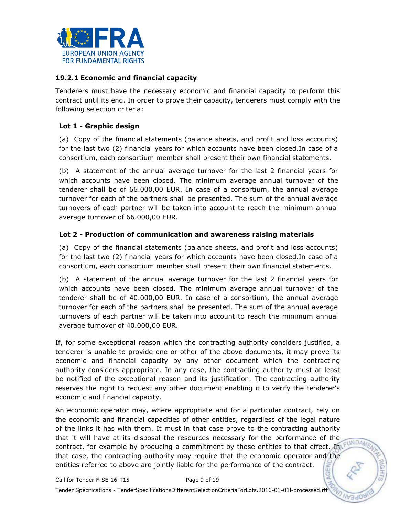

## **19.2.1 Economic and financial capacity**

Tenderers must have the necessary economic and financial capacity to perform this contract until its end. In order to prove their capacity, tenderers must comply with the following selection criteria:

## **Lot 1 - Graphic design**

(a) Copy of the financial statements (balance sheets, and profit and loss accounts) for the last two (2) financial years for which accounts have been closed.In case of a consortium, each consortium member shall present their own financial statements.

(b) A statement of the annual average turnover for the last 2 financial years for which accounts have been closed. The minimum average annual turnover of the tenderer shall be of 66.000,00 EUR. In case of a consortium, the annual average turnover for each of the partners shall be presented. The sum of the annual average turnovers of each partner will be taken into account to reach the minimum annual average turnover of 66.000,00 EUR.

#### **Lot 2 - Production of communication and awareness raising materials**

(a) Copy of the financial statements (balance sheets, and profit and loss accounts) for the last two (2) financial years for which accounts have been closed.In case of a consortium, each consortium member shall present their own financial statements.

(b) A statement of the annual average turnover for the last 2 financial years for which accounts have been closed. The minimum average annual turnover of the tenderer shall be of 40.000,00 EUR. In case of a consortium, the annual average turnover for each of the partners shall be presented. The sum of the annual average turnovers of each partner will be taken into account to reach the minimum annual average turnover of 40.000,00 EUR.

If, for some exceptional reason which the contracting authority considers justified, a tenderer is unable to provide one or other of the above documents, it may prove its economic and financial capacity by any other document which the contracting authority considers appropriate. In any case, the contracting authority must at least be notified of the exceptional reason and its justification. The contracting authority reserves the right to request any other document enabling it to verify the tenderer's economic and financial capacity.

An economic operator may, where appropriate and for a particular contract, rely on the economic and financial capacities of other entities, regardless of the legal nature of the links it has with them. It must in that case prove to the contracting authority that it will have at its disposal the resources necessary for the performance of the contract, for example by producing a commitment by those entities to that effect. In FUNDAM that case, the contracting authority may require that the economic operator and the entities referred to above are jointly liable for the performance of the contract.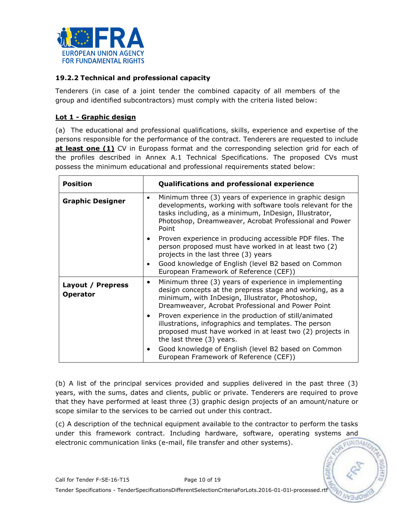

## **19.2.2 Technical and professional capacity**

Tenderers (in case of a joint tender the combined capacity of all members of the group and identified subcontractors) must comply with the criteria listed below:

# **Lot 1 - Graphic design**

(a) The educational and professional qualifications, skills, experience and expertise of the persons responsible for the performance of the contract. Tenderers are requested to include **at least one (1)** CV in Europass format and the corresponding selection grid for each of the profiles described in Annex A.1 Technical Specifications. The proposed CVs must possess the minimum educational and professional requirements stated below:

| <b>Position</b>                      |           | <b>Qualifications and professional experience</b>                                                                                                                                                                                                 |
|--------------------------------------|-----------|---------------------------------------------------------------------------------------------------------------------------------------------------------------------------------------------------------------------------------------------------|
| <b>Graphic Designer</b>              | $\bullet$ | Minimum three (3) years of experience in graphic design<br>developments, working with software tools relevant for the<br>tasks including, as a minimum, InDesign, Illustrator,<br>Photoshop, Dreamweaver, Acrobat Professional and Power<br>Point |
|                                      |           | Proven experience in producing accessible PDF files. The<br>person proposed must have worked in at least two (2)<br>projects in the last three (3) years                                                                                          |
|                                      | $\bullet$ | Good knowledge of English (level B2 based on Common<br>European Framework of Reference (CEF))                                                                                                                                                     |
| Layout / Prepress<br><b>Operator</b> | $\bullet$ | Minimum three (3) years of experience in implementing<br>design concepts at the prepress stage and working, as a<br>minimum, with InDesign, Illustrator, Photoshop,<br>Dreamweaver, Acrobat Professional and Power Point                          |
|                                      | $\bullet$ | Proven experience in the production of still/animated<br>illustrations, infographics and templates. The person<br>proposed must have worked in at least two (2) projects in<br>the last three (3) years.                                          |
|                                      |           | Good knowledge of English (level B2 based on Common<br>European Framework of Reference (CEF))                                                                                                                                                     |

(b) A list of the principal services provided and supplies delivered in the past three (3) years, with the sums, dates and clients, public or private. Tenderers are required to prove that they have performed at least three (3) graphic design projects of an amount/nature or scope similar to the services to be carried out under this contract.

(c) A description of the technical equipment available to the contractor to perform the tasks under this framework contract. Including hardware, software, operating systems and EUNDA electronic communication links (e-mail, file transfer and other systems).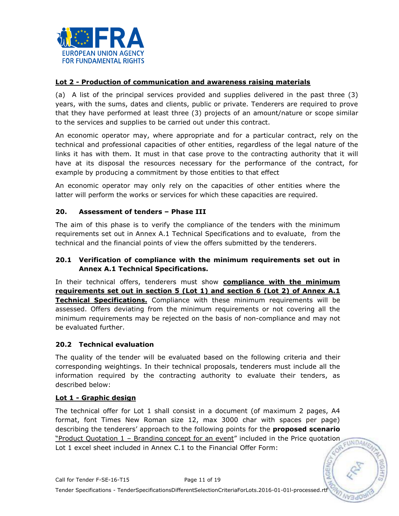

## **Lot 2 - Production of communication and awareness raising materials**

(a) A list of the principal services provided and supplies delivered in the past three (3) years, with the sums, dates and clients, public or private. Tenderers are required to prove that they have performed at least three (3) projects of an amount/nature or scope similar to the services and supplies to be carried out under this contract.

An economic operator may, where appropriate and for a particular contract, rely on the technical and professional capacities of other entities, regardless of the legal nature of the links it has with them. It must in that case prove to the contracting authority that it will have at its disposal the resources necessary for the performance of the contract, for example by producing a commitment by those entities to that effect

An economic operator may only rely on the capacities of other entities where the latter will perform the works or services for which these capacities are required.

## **20. Assessment of tenders – Phase III**

The aim of this phase is to verify the compliance of the tenders with the minimum requirements set out in Annex A.1 Technical Specifications and to evaluate, from the technical and the financial points of view the offers submitted by the tenderers.

## **20.1 Verification of compliance with the minimum requirements set out in Annex A.1 Technical Specifications.**

In their technical offers, tenderers must show **compliance with the minimum requirements set out in section 5 (Lot 1) and section 6 (Lot 2) of Annex A.1 Technical Specifications.** Compliance with these minimum requirements will be assessed. Offers deviating from the minimum requirements or not covering all the minimum requirements may be rejected on the basis of non-compliance and may not be evaluated further.

#### **20.2 Technical evaluation**

The quality of the tender will be evaluated based on the following criteria and their corresponding weightings. In their technical proposals, tenderers must include all the information required by the contracting authority to evaluate their tenders, as described below:

#### **Lot 1 - Graphic design**

The technical offer for Lot 1 shall consist in a document (of maximum 2 pages, A4 format, font Times New Roman size 12, max 3000 char with spaces per page) describing the tenderers' approach to the following points for the **proposed scenario** "Product Quotation 1 – Branding concept for an event" included in the Price quotation Lot 1 excel sheet included in Annex C.1 to the Financial Offer Form:

EUNDAM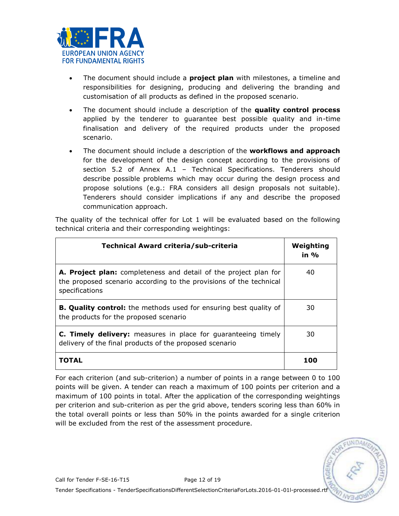

- The document should include a **project plan** with milestones, a timeline and responsibilities for designing, producing and delivering the branding and customisation of all products as defined in the proposed scenario.
- The document should include a description of the **quality control process** applied by the tenderer to guarantee best possible quality and in-time finalisation and delivery of the required products under the proposed scenario.
- The document should include a description of the **workflows and approach** for the development of the design concept according to the provisions of section 5.2 of Annex A.1 – Technical Specifications. Tenderers should describe possible problems which may occur during the design process and propose solutions (e.g.: FRA considers all design proposals not suitable). Tenderers should consider implications if any and describe the proposed communication approach.

The quality of the technical offer for Lot 1 will be evaluated based on the following technical criteria and their corresponding weightings:

| Technical Award criteria/sub-criteria                                                                                                                    | Weighting<br>in $\%$ |
|----------------------------------------------------------------------------------------------------------------------------------------------------------|----------------------|
| A. Project plan: completeness and detail of the project plan for<br>the proposed scenario according to the provisions of the technical<br>specifications | 40                   |
| <b>B. Quality control:</b> the methods used for ensuring best quality of<br>the products for the proposed scenario                                       | 30                   |
| <b>C. Timely delivery:</b> measures in place for guaranteeing timely<br>delivery of the final products of the proposed scenario                          | 30                   |
| TOTAL                                                                                                                                                    | 100                  |

For each criterion (and sub-criterion) a number of points in a range between 0 to 100 points will be given. A tender can reach a maximum of 100 points per criterion and a maximum of 100 points in total. After the application of the corresponding weightings per criterion and sub-criterion as per the grid above, tenders scoring less than 60% in the total overall points or less than 50% in the points awarded for a single criterion will be excluded from the rest of the assessment procedure.

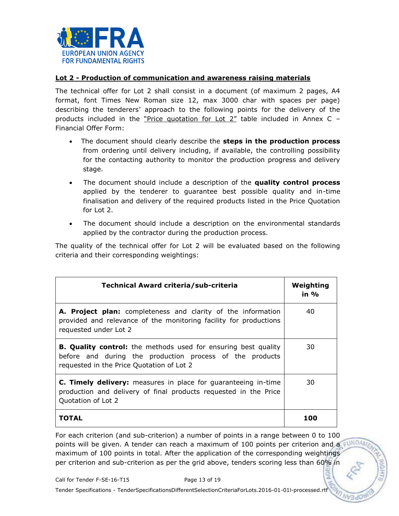

#### **Lot 2 - Production of communication and awareness raising materials**

The technical offer for Lot 2 shall consist in a document (of maximum 2 pages, A4 format, font Times New Roman size 12, max 3000 char with spaces per page) describing the tenderers' approach to the following points for the delivery of the products included in the "Price quotation for Lot 2" table included in Annex C – Financial Offer Form:

- The document should clearly describe the **steps in the production process** from ordering until delivery including, if available, the controlling possibility for the contacting authority to monitor the production progress and delivery stage.
- The document should include a description of the **quality control process** applied by the tenderer to guarantee best possible quality and in-time finalisation and delivery of the required products listed in the Price Quotation for Lot 2.
- The document should include a description on the environmental standards applied by the contractor during the production process.

The quality of the technical offer for Lot 2 will be evaluated based on the following criteria and their corresponding weightings:

| Technical Award criteria/sub-criteria                                                                                                                                          | Weighting<br>in % |
|--------------------------------------------------------------------------------------------------------------------------------------------------------------------------------|-------------------|
| A. Project plan: completeness and clarity of the information<br>provided and relevance of the monitoring facility for productions<br>requested under Lot 2                     | 40                |
| <b>B. Quality control:</b> the methods used for ensuring best quality<br>before and during the production process of the products<br>requested in the Price Quotation of Lot 2 | 30                |
| <b>C. Timely delivery:</b> measures in place for guaranteeing in-time<br>production and delivery of final products requested in the Price<br>Quotation of Lot 2                | 30                |
| ГОТАІ                                                                                                                                                                          | 100               |

For each criterion (and sub-criterion) a number of points in a range between 0 to 100 points will be given. A tender can reach a maximum of 100 points per criterion and a FUND maximum of 100 points in total. After the application of the corresponding weightings per criterion and sub-criterion as per the grid above, tenders scoring less than 60% in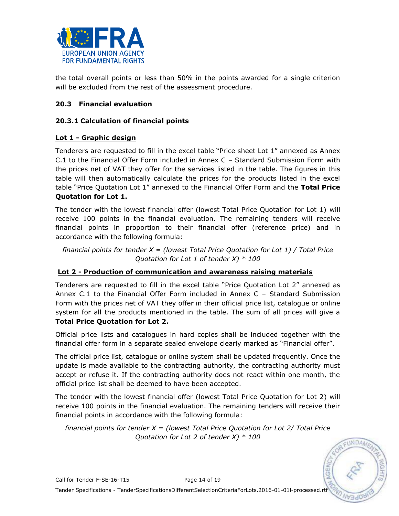

the total overall points or less than 50% in the points awarded for a single criterion will be excluded from the rest of the assessment procedure.

# **20.3 Financial evaluation**

## **20.3.1 Calculation of financial points**

# **Lot 1 - Graphic design**

Tenderers are requested to fill in the excel table "Price sheet Lot 1" annexed as Annex C.1 to the Financial Offer Form included in Annex C – Standard Submission Form with the prices net of VAT they offer for the services listed in the table. The figures in this table will then automatically calculate the prices for the products listed in the excel table "Price Quotation Lot 1" annexed to the Financial Offer Form and the **Total Price Quotation for Lot 1.** 

The tender with the lowest financial offer (lowest Total Price Quotation for Lot 1) will receive 100 points in the financial evaluation. The remaining tenders will receive financial points in proportion to their financial offer (reference price) and in accordance with the following formula:

*financial points for tender X = (lowest Total Price Quotation for Lot 1) / Total Price Quotation for Lot 1 of tender X) \* 100*

## **Lot 2 - Production of communication and awareness raising materials**

Tenderers are requested to fill in the excel table "Price Quotation Lot 2" annexed as Annex C.1 to the Financial Offer Form included in Annex C – Standard Submission Form with the prices net of VAT they offer in their official price list, catalogue or online system for all the products mentioned in the table. The sum of all prices will give a **Total Price Quotation for Lot 2.**

Official price lists and catalogues in hard copies shall be included together with the financial offer form in a separate sealed envelope clearly marked as "Financial offer".

The official price list, catalogue or online system shall be updated frequently. Once the update is made available to the contracting authority, the contracting authority must accept or refuse it. If the contracting authority does not react within one month, the official price list shall be deemed to have been accepted.

The tender with the lowest financial offer (lowest Total Price Quotation for Lot 2) will receive 100 points in the financial evaluation. The remaining tenders will receive their financial points in accordance with the following formula:

*financial points for tender X = (lowest Total Price Quotation for Lot 2/ Total Price Quotation for Lot 2 of tender X) \* 100*

**TINDA**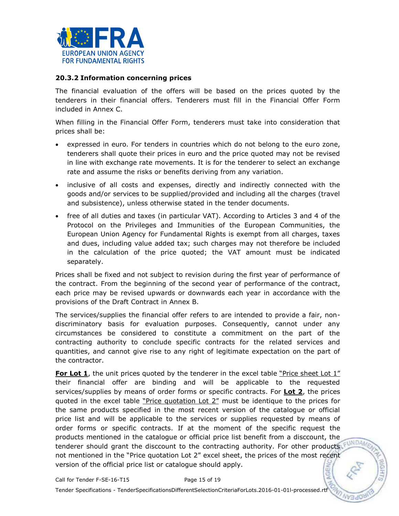

#### **20.3.2 Information concerning prices**

The financial evaluation of the offers will be based on the prices quoted by the tenderers in their financial offers. Tenderers must fill in the Financial Offer Form included in Annex C.

When filling in the Financial Offer Form, tenderers must take into consideration that prices shall be:

- expressed in euro. For tenders in countries which do not belong to the euro zone, tenderers shall quote their prices in euro and the price quoted may not be revised in line with exchange rate movements. It is for the tenderer to select an exchange rate and assume the risks or benefits deriving from any variation.
- inclusive of all costs and expenses, directly and indirectly connected with the goods and/or services to be supplied/provided and including all the charges (travel and subsistence), unless otherwise stated in the tender documents.
- free of all duties and taxes (in particular VAT). According to Articles 3 and 4 of the Protocol on the Privileges and Immunities of the European Communities, the European Union Agency for Fundamental Rights is exempt from all charges, taxes and dues, including value added tax; such charges may not therefore be included in the calculation of the price quoted; the VAT amount must be indicated separately.

Prices shall be fixed and not subject to revision during the first year of performance of the contract. From the beginning of the second year of performance of the contract, each price may be revised upwards or downwards each year in accordance with the provisions of the Draft Contract in Annex B.

The services/supplies the financial offer refers to are intended to provide a fair, nondiscriminatory basis for evaluation purposes. Consequently, cannot under any circumstances be considered to constitute a commitment on the part of the contracting authority to conclude specific contracts for the related services and quantities, and cannot give rise to any right of legitimate expectation on the part of the contractor.

**For Lot 1**, the unit prices quoted by the tenderer in the excel table "Price sheet Lot 1" their financial offer are binding and will be applicable to the requested services/supplies by means of order forms or specific contracts. For **Lot 2**, the prices quoted in the excel table "Price quotation Lot 2" must be identique to the prices for the same products specified in the most recent version of the catalogue or official price list and will be applicable to the services or supplies requested by means of order forms or specific contracts. If at the moment of the specific request the products mentioned in the catalogue or official price list benefit from a disccount, the tenderer should grant the disccount to the contracting authority. For other products not mentioned in the "Price quotation Lot 2" excel sheet, the prices of the most recent version of the official price list or catalogue should apply.**AGEA**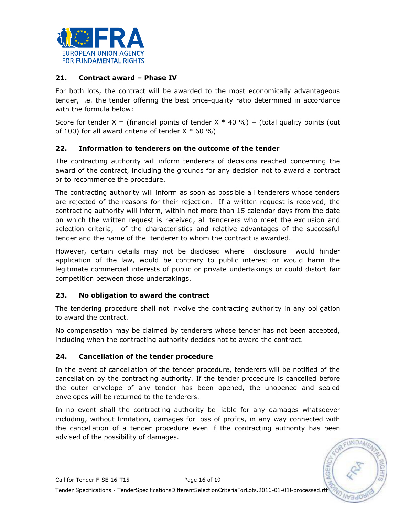

# **21. Contract award – Phase IV**

For both lots, the contract will be awarded to the most economically advantageous tender, i.e. the tender offering the best price-quality ratio determined in accordance with the formula below:

Score for tender  $X =$  (financial points of tender  $X * 40 \%$ ) + (total quality points (out of 100) for all award criteria of tender  $X * 60 %$ 

## **22. Information to tenderers on the outcome of the tender**

The contracting authority will inform tenderers of decisions reached concerning the award of the contract, including the grounds for any decision not to award a contract or to recommence the procedure.

The contracting authority will inform as soon as possible all tenderers whose tenders are rejected of the reasons for their rejection. If a written request is received, the contracting authority will inform, within not more than 15 calendar days from the date on which the written request is received, all tenderers who meet the exclusion and selection criteria, of the characteristics and relative advantages of the successful tender and the name of the tenderer to whom the contract is awarded.

However, certain details may not be disclosed where disclosure would hinder application of the law, would be contrary to public interest or would harm the legitimate commercial interests of public or private undertakings or could distort fair competition between those undertakings.

# **23. No obligation to award the contract**

The tendering procedure shall not involve the contracting authority in any obligation to award the contract.

No compensation may be claimed by tenderers whose tender has not been accepted, including when the contracting authority decides not to award the contract.

## **24. Cancellation of the tender procedure**

In the event of cancellation of the tender procedure, tenderers will be notified of the cancellation by the contracting authority. If the tender procedure is cancelled before the outer envelope of any tender has been opened, the unopened and sealed envelopes will be returned to the tenderers.

In no event shall the contracting authority be liable for any damages whatsoever including, without limitation, damages for loss of profits, in any way connected with the cancellation of a tender procedure even if the contracting authority has been advised of the possibility of damages.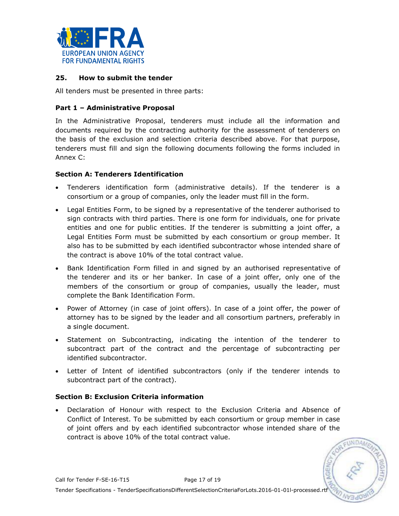

#### **25. How to submit the tender**

All tenders must be presented in three parts:

## **Part 1 – Administrative Proposal**

In the Administrative Proposal, tenderers must include all the information and documents required by the contracting authority for the assessment of tenderers on the basis of the exclusion and selection criteria described above. For that purpose, tenderers must fill and sign the following documents following the forms included in Annex C:

#### **Section A: Tenderers Identification**

- Tenderers identification form (administrative details). If the tenderer is a consortium or a group of companies, only the leader must fill in the form.
- Legal Entities Form, to be signed by a representative of the tenderer authorised to sign contracts with third parties. There is one form for individuals, one for private entities and one for public entities. If the tenderer is submitting a joint offer, a Legal Entities Form must be submitted by each consortium or group member. It also has to be submitted by each identified subcontractor whose intended share of the contract is above 10% of the total contract value.
- Bank Identification Form filled in and signed by an authorised representative of the tenderer and its or her banker. In case of a joint offer, only one of the members of the consortium or group of companies, usually the leader, must complete the Bank Identification Form.
- Power of Attorney (in case of joint offers). In case of a joint offer, the power of attorney has to be signed by the leader and all consortium partners, preferably in a single document.
- Statement on Subcontracting, indicating the intention of the tenderer to subcontract part of the contract and the percentage of subcontracting per identified subcontractor.
- Letter of Intent of identified subcontractors (only if the tenderer intends to subcontract part of the contract).

#### **Section B: Exclusion Criteria information**

 Declaration of Honour with respect to the Exclusion Criteria and Absence of Conflict of Interest. To be submitted by each consortium or group member in case of joint offers and by each identified subcontractor whose intended share of the contract is above 10% of the total contract value.

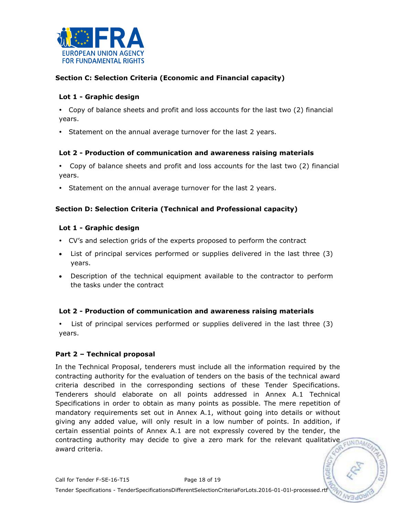

## **Section C: Selection Criteria (Economic and Financial capacity)**

## **Lot 1 - Graphic design**

- Copy of balance sheets and profit and loss accounts for the last two (2) financial years.
- Statement on the annual average turnover for the last 2 years.

#### **Lot 2 - Production of communication and awareness raising materials**

- Copy of balance sheets and profit and loss accounts for the last two (2) financial years.
- Statement on the annual average turnover for the last 2 years.

## **Section D: Selection Criteria (Technical and Professional capacity)**

#### **Lot 1 - Graphic design**

- CV's and selection grids of the experts proposed to perform the contract
- List of principal services performed or supplies delivered in the last three (3) years.
- Description of the technical equipment available to the contractor to perform the tasks under the contract

## **Lot 2 - Production of communication and awareness raising materials**

 List of principal services performed or supplies delivered in the last three (3) years.

#### **Part 2 – Technical proposal**

In the Technical Proposal, tenderers must include all the information required by the contracting authority for the evaluation of tenders on the basis of the technical award criteria described in the corresponding sections of these Tender Specifications. Tenderers should elaborate on all points addressed in Annex A.1 Technical Specifications in order to obtain as many points as possible. The mere repetition of mandatory requirements set out in Annex A.1, without going into details or without giving any added value, will only result in a low number of points. In addition, if certain essential points of Annex A.1 are not expressly covered by the tender, the contracting authority may decide to give a zero mark for the relevant qualitative award criteria.

 $UNDAA$